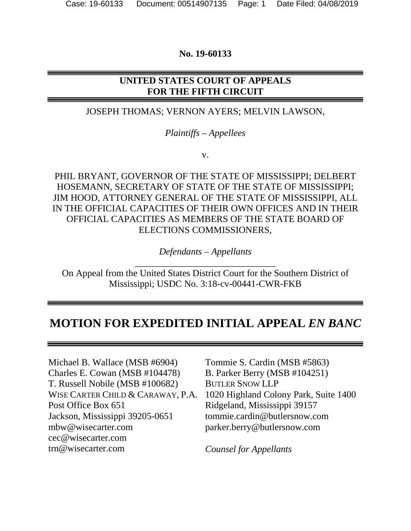## **No. 19-60133**

# **UNITED STATES COURT OF APPEALS FOR THE FIFTH CIRCUIT**

## JOSEPH THOMAS; VERNON AYERS; MELVIN LAWSON,

## *Plaintiffs – Appellees*

v.

PHIL BRYANT, GOVERNOR OF THE STATE OF MISSISSIPPI; DELBERT HOSEMANN, SECRETARY OF STATE OF THE STATE OF MISSISSIPPI; JIM HOOD, ATTORNEY GENERAL OF THE STATE OF MISSISSIPPI, ALL IN THE OFFICIAL CAPACITIES OF THEIR OWN OFFICES AND IN THEIR OFFICIAL CAPACITIES AS MEMBERS OF THE STATE BOARD OF ELECTIONS COMMISSIONERS,

> *Defendants – Appellants* \_\_\_\_\_\_\_\_\_\_\_\_\_\_\_\_\_\_\_\_\_\_\_\_\_\_\_\_\_\_

On Appeal from the United States District Court for the Southern District of Mississippi; USDC No. 3:18-cv-00441-CWR-FKB

# **MOTION FOR EXPEDITED INITIAL APPEAL** *EN BANC*

Michael B. Wallace (MSB #6904) Charles E. Cowan (MSB #104478) T. Russell Nobile (MSB #100682) WISE CARTER CHILD & CARAWAY, P.A. Post Office Box 651 Jackson, Mississippi 39205-0651 mbw@wisecarter.com cec@wisecarter.com trn@wisecarter.com

Tommie S. Cardin (MSB #5863) B. Parker Berry (MSB #104251) BUTLER SNOW LLP 1020 Highland Colony Park, Suite 1400 Ridgeland, Mississippi 39157 tommie.cardin@butlersnow.com parker.berry@butlersnow.com

*Counsel for Appellants*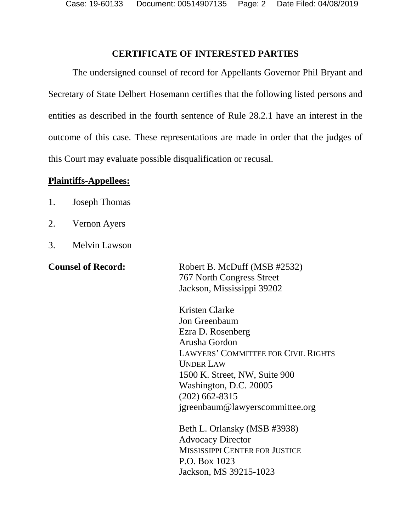Case: 19-60133 Document: 00514907135 Page: 2 Date Filed: 04/08/2019

#### **CERTIFICATE OF INTERESTED PARTIES**

The undersigned counsel of record for Appellants Governor Phil Bryant and Secretary of State Delbert Hosemann certifies that the following listed persons and entities as described in the fourth sentence of Rule 28.2.1 have an interest in the outcome of this case. These representations are made in order that the judges of this Court may evaluate possible disqualification or recusal.

#### **Plaintiffs-Appellees:**

- 1. Joseph Thomas
- 2. Vernon Ayers
- 3. Melvin Lawson

**Counsel of Record:** Robert B. McDuff (MSB #2532) 767 North Congress Street Jackson, Mississippi 39202

> Kristen Clarke Jon Greenbaum Ezra D. Rosenberg Arusha Gordon LAWYERS' COMMITTEE FOR CIVIL RIGHTS UNDER LAW 1500 K. Street, NW, Suite 900 Washington, D.C. 20005 (202) 662-8315 jgreenbaum@lawyerscommittee.org

Beth L. Orlansky (MSB #3938) Advocacy Director MISSISSIPPI CENTER FOR JUSTICE P.O. Box 1023 Jackson, MS 39215-1023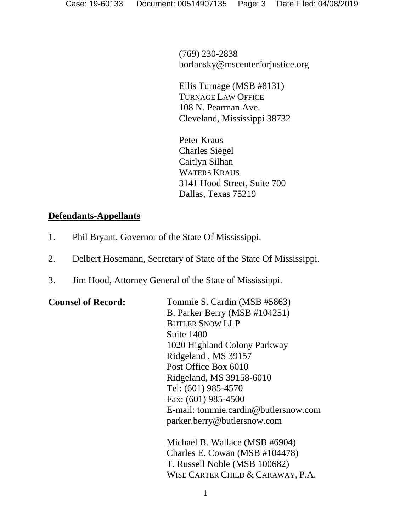(769) 230-2838 borlansky@mscenterforjustice.org

Ellis Turnage (MSB #8131) TURNAGE LAW OFFICE 108 N. Pearman Ave. Cleveland, Mississippi 38732

Peter Kraus Charles Siegel Caitlyn Silhan WATERS KRAUS 3141 Hood Street, Suite 700 Dallas, Texas 75219

## **Defendants-Appellants**

- 1. Phil Bryant, Governor of the State Of Mississippi.
- 2. Delbert Hosemann, Secretary of State of the State Of Mississippi.
- 3. Jim Hood, Attorney General of the State of Mississippi.

| <b>Counsel of Record:</b> | Tommie S. Cardin (MSB #5863)         |
|---------------------------|--------------------------------------|
|                           | B. Parker Berry (MSB #104251)        |
|                           | <b>BUTLER SNOW LLP</b>               |
|                           | Suite 1400                           |
|                           | 1020 Highland Colony Parkway         |
|                           | Ridgeland, MS 39157                  |
|                           | Post Office Box 6010                 |
|                           | Ridgeland, MS 39158-6010             |
|                           | Tel: (601) 985-4570                  |
|                           | Fax: (601) 985-4500                  |
|                           | E-mail: tommie.cardin@butlersnow.com |
|                           | parker.berry@butlersnow.com          |
|                           | Michael B. Wallace (MSB #6904)       |
|                           | Charles E. Cowan (MSB #104478)       |
|                           | T. Russell Noble (MSB 100682)        |

WISE CARTER CHILD & CARAWAY, P.A.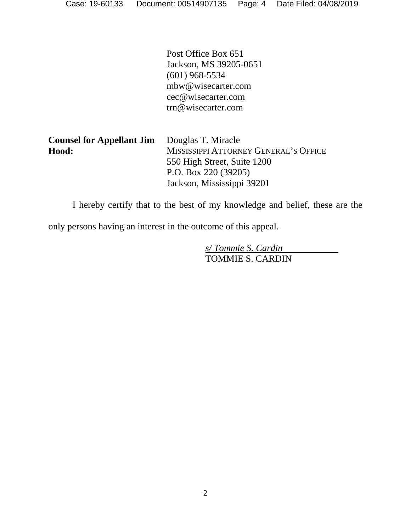Post Office Box 651 Jackson, MS 39205-0651 (601) 968-5534 mbw@wisecarter.com cec@wisecarter.com trn@wisecarter.com

| <b>Counsel for Appellant Jim</b> | Douglas T. Miracle                    |
|----------------------------------|---------------------------------------|
| Hood:                            | MISSISSIPPI ATTORNEY GENERAL'S OFFICE |
|                                  | 550 High Street, Suite 1200           |
|                                  | P.O. Box 220 $(39205)$                |
|                                  | Jackson, Mississippi 39201            |

I hereby certify that to the best of my knowledge and belief, these are the

only persons having an interest in the outcome of this appeal.

*s/ Tommie S. Cardin* TOMMIE S. CARDIN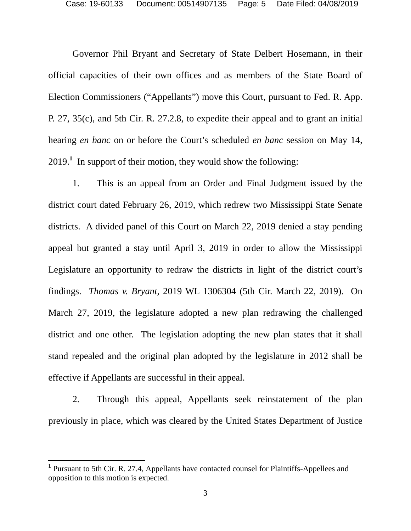Governor Phil Bryant and Secretary of State Delbert Hosemann, in their official capacities of their own offices and as members of the State Board of Election Commissioners ("Appellants") move this Court, pursuant to Fed. R. App. P. 27, 35(c), and 5th Cir. R. 27.2.8, to expedite their appeal and to grant an initial hearing *en banc* on or before the Court's scheduled *en banc* session on May 14,  $2019<sup>1</sup>$  In support of their motion, they would show the following:

1. This is an appeal from an Order and Final Judgment issued by the district court dated February 26, 2019, which redrew two Mississippi State Senate districts. A divided panel of this Court on March 22, 2019 denied a stay pending appeal but granted a stay until April 3, 2019 in order to allow the Mississippi Legislature an opportunity to redraw the districts in light of the district court's findings. *Thomas v. Bryant*, 2019 WL 1306304 (5th Cir. March 22, 2019). On March 27, 2019, the legislature adopted a new plan redrawing the challenged district and one other. The legislation adopting the new plan states that it shall stand repealed and the original plan adopted by the legislature in 2012 shall be effective if Appellants are successful in their appeal.

2. Through this appeal, Appellants seek reinstatement of the plan previously in place, which was cleared by the United States Department of Justice

<sup>&</sup>lt;sup>1</sup> Pursuant to 5th Cir. R. 27.4, Appellants have contacted counsel for Plaintiffs-Appellees and opposition to this motion is expected.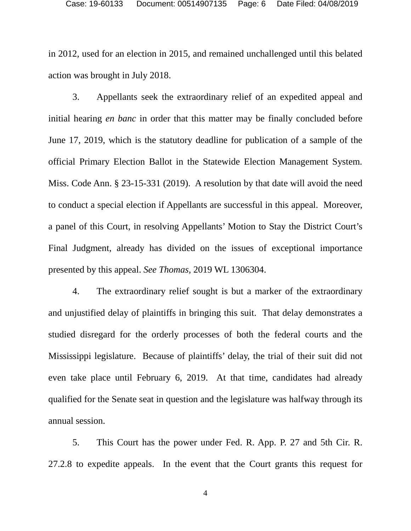in 2012, used for an election in 2015, and remained unchallenged until this belated action was brought in July 2018.

3. Appellants seek the extraordinary relief of an expedited appeal and initial hearing *en banc* in order that this matter may be finally concluded before June 17, 2019, which is the statutory deadline for publication of a sample of the official Primary Election Ballot in the Statewide Election Management System. Miss. Code Ann. § 23-15-331 (2019). A resolution by that date will avoid the need to conduct a special election if Appellants are successful in this appeal. Moreover, a panel of this Court, in resolving Appellants' Motion to Stay the District Court's Final Judgment, already has divided on the issues of exceptional importance presented by this appeal. *See Thomas,* 2019 WL 1306304.

4. The extraordinary relief sought is but a marker of the extraordinary and unjustified delay of plaintiffs in bringing this suit. That delay demonstrates a studied disregard for the orderly processes of both the federal courts and the Mississippi legislature. Because of plaintiffs' delay, the trial of their suit did not even take place until February 6, 2019. At that time, candidates had already qualified for the Senate seat in question and the legislature was halfway through its annual session.

5. This Court has the power under Fed. R. App. P. 27 and 5th Cir. R. 27.2.8 to expedite appeals. In the event that the Court grants this request for

4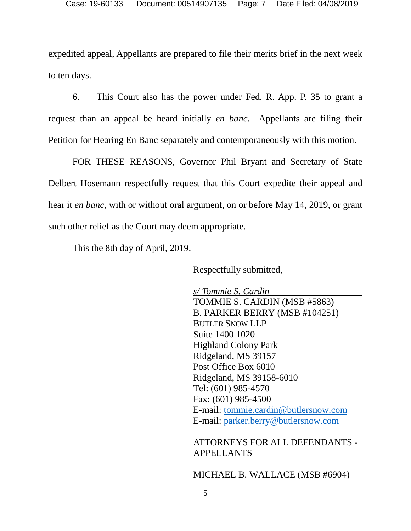expedited appeal, Appellants are prepared to file their merits brief in the next week to ten days.

6. This Court also has the power under Fed. R. App. P. 35 to grant a request than an appeal be heard initially *en banc*. Appellants are filing their Petition for Hearing En Banc separately and contemporaneously with this motion.

FOR THESE REASONS, Governor Phil Bryant and Secretary of State Delbert Hosemann respectfully request that this Court expedite their appeal and hear it *en banc*, with or without oral argument, on or before May 14, 2019, or grant such other relief as the Court may deem appropriate.

This the 8th day of April, 2019.

Respectfully submitted,

*s/ Tommie S. Cardin* TOMMIE S. CARDIN (MSB #5863) B. PARKER BERRY (MSB #104251) BUTLER SNOW LLP Suite 1400 1020 Highland Colony Park Ridgeland, MS 39157 Post Office Box 6010 Ridgeland, MS 39158-6010 Tel: (601) 985-4570 Fax: (601) 985-4500 E-mail: tommie.cardin@butlersnow.com E-mail: parker.berry@butlersnow.com

ATTORNEYS FOR ALL DEFENDANTS - APPELLANTS

MICHAEL B. WALLACE (MSB #6904)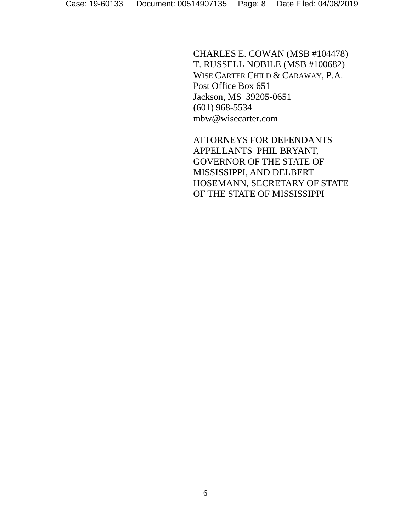CHARLES E. COWAN (MSB #104478) T. RUSSELL NOBILE (MSB #100682) WISE CARTER CHILD & CARAWAY, P.A. Post Office Box 651 Jackson, MS 39205-0651 (601) 968-5534 mbw@wisecarter.com

ATTORNEYS FOR DEFENDANTS – APPELLANTS PHIL BRYANT, GOVERNOR OF THE STATE OF MISSISSIPPI, AND DELBERT HOSEMANN, SECRETARY OF STATE OF THE STATE OF MISSISSIPPI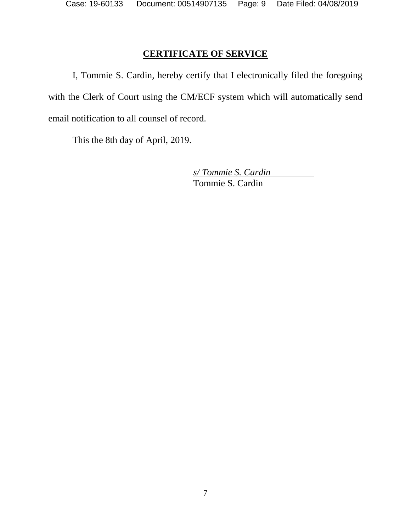# **CERTIFICATE OF SERVICE**

I, Tommie S. Cardin, hereby certify that I electronically filed the foregoing with the Clerk of Court using the CM/ECF system which will automatically send email notification to all counsel of record.

This the 8th day of April, 2019.

*s/ Tommie S. Cardin* Tommie S. Cardin